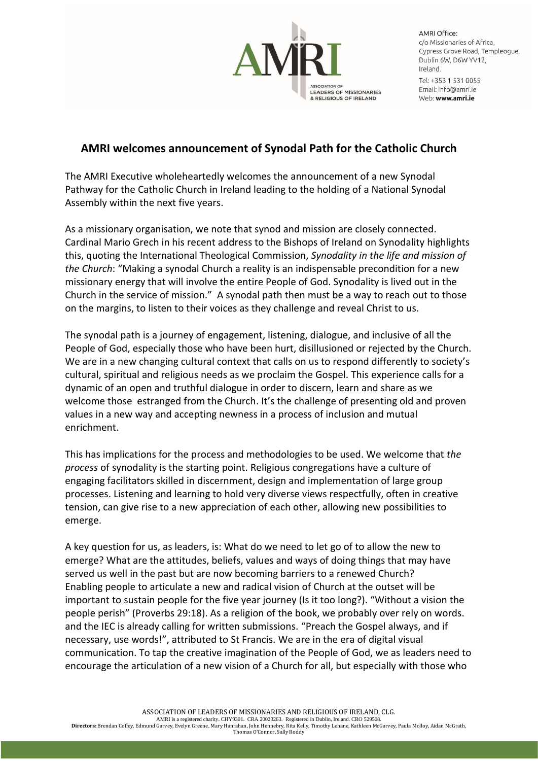

**AMRI Office:** c/o Missionaries of Africa, Cypress Grove Road, Templeoque, Dublin 6W, D6W YV12, Ireland. Tel: +353 1 531 0055 Email: info@amri je

Web: www.amri.ie

## **AMRI welcomes announcement of Synodal Path for the Catholic Church**

The AMRI Executive wholeheartedly welcomes the announcement of a new Synodal Pathway for the Catholic Church in Ireland leading to the holding of a National Synodal Assembly within the next five years.

As a missionary organisation, we note that synod and mission are closely connected. Cardinal Mario Grech in his recent address to the Bishops of Ireland on Synodality highlights this, quoting the International Theological Commission, *Synodality in the life and mission of the Church*: "Making a synodal Church a reality is an indispensable precondition for a new missionary energy that will involve the entire People of God. Synodality is lived out in the Church in the service of mission." A synodal path then must be a way to reach out to those on the margins, to listen to their voices as they challenge and reveal Christ to us.

The synodal path is a journey of engagement, listening, dialogue, and inclusive of all the People of God, especially those who have been hurt, disillusioned or rejected by the Church. We are in a new changing cultural context that calls on us to respond differently to society's cultural, spiritual and religious needs as we proclaim the Gospel. This experience calls for a dynamic of an open and truthful dialogue in order to discern, learn and share as we welcome those estranged from the Church. It's the challenge of presenting old and proven values in a new way and accepting newness in a process of inclusion and mutual enrichment.

This has implications for the process and methodologies to be used. We welcome that *the process* of synodality is the starting point. Religious congregations have a culture of engaging facilitators skilled in discernment, design and implementation of large group processes. Listening and learning to hold very diverse views respectfully, often in creative tension, can give rise to a new appreciation of each other, allowing new possibilities to emerge.

A key question for us, as leaders, is: What do we need to let go of to allow the new to emerge? What are the attitudes, beliefs, values and ways of doing things that may have served us well in the past but are now becoming barriers to a renewed Church? Enabling people to articulate a new and radical vision of Church at the outset will be important to sustain people for the five year journey (Is it too long?). "Without a vision the people perish" (Proverbs 29:18). As a religion of the book, we probably over rely on words. and the IEC is already calling for written submissions. "Preach the Gospel always, and if necessary, use words!", attributed to St Francis. We are in the era of digital visual communication. To tap the creative imagination of the People of God, we as leaders need to encourage the articulation of a new vision of a Church for all, but especially with those who